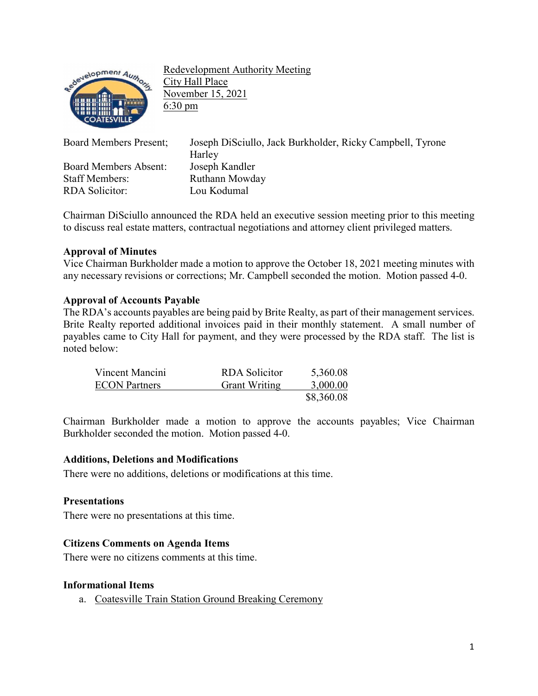

Redevelopment Authority Meeting City Hall Place November 15, 2021 6:30 pm

| <b>Board Members Present;</b> | Joseph DiSciullo, Jack Burkholder, Ricky Campbell, Tyrone<br>Harley |
|-------------------------------|---------------------------------------------------------------------|
| <b>Board Members Absent:</b>  | Joseph Kandler                                                      |
| <b>Staff Members:</b>         | Ruthann Mowday                                                      |
| <b>RDA</b> Solicitor:         | Lou Kodumal                                                         |

Chairman DiSciullo announced the RDA held an executive session meeting prior to this meeting to discuss real estate matters, contractual negotiations and attorney client privileged matters.

## **Approval of Minutes**

Vice Chairman Burkholder made a motion to approve the October 18, 2021 meeting minutes with any necessary revisions or corrections; Mr. Campbell seconded the motion. Motion passed 4-0.

## **Approval of Accounts Payable**

The RDA's accounts payables are being paid by Brite Realty, as part of their management services. Brite Realty reported additional invoices paid in their monthly statement. A small number of payables came to City Hall for payment, and they were processed by the RDA staff. The list is noted below:

| Vincent Mancini      | RDA Solicitor        | 5,360.08   |
|----------------------|----------------------|------------|
| <b>ECON Partners</b> | <b>Grant Writing</b> | 3,000.00   |
|                      |                      | \$8,360.08 |

Chairman Burkholder made a motion to approve the accounts payables; Vice Chairman Burkholder seconded the motion. Motion passed 4-0.

## **Additions, Deletions and Modifications**

There were no additions, deletions or modifications at this time.

#### **Presentations**

There were no presentations at this time.

#### **Citizens Comments on Agenda Items**

There were no citizens comments at this time.

#### **Informational Items**

a. Coatesville Train Station Ground Breaking Ceremony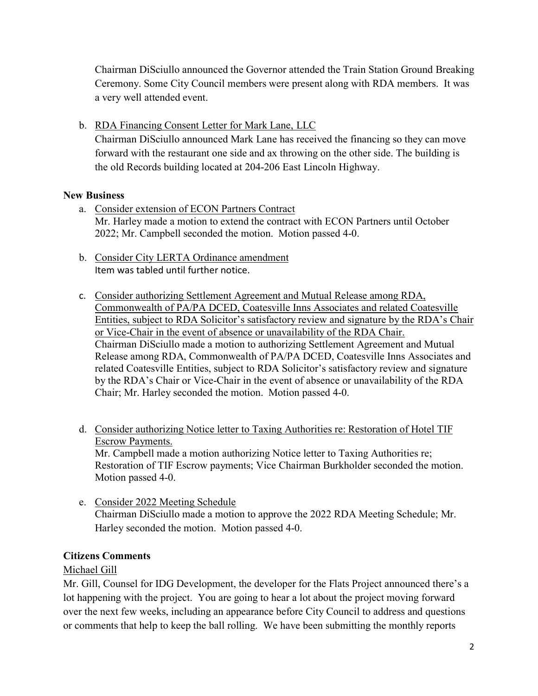Chairman DiSciullo announced the Governor attended the Train Station Ground Breaking Ceremony. Some City Council members were present along with RDA members. It was a very well attended event.

b. RDA Financing Consent Letter for Mark Lane, LLC

Chairman DiSciullo announced Mark Lane has received the financing so they can move forward with the restaurant one side and ax throwing on the other side. The building is the old Records building located at 204-206 East Lincoln Highway.

# **New Business**

- a. Consider extension of ECON Partners Contract Mr. Harley made a motion to extend the contract with ECON Partners until October 2022; Mr. Campbell seconded the motion. Motion passed 4-0.
- b. Consider City LERTA Ordinance amendment Item was tabled until further notice.
- c. Consider authorizing Settlement Agreement and Mutual Release among RDA, Commonwealth of PA/PA DCED, Coatesville Inns Associates and related Coatesville Entities, subject to RDA Solicitor's satisfactory review and signature by the RDA's Chair or Vice-Chair in the event of absence or unavailability of the RDA Chair. Chairman DiSciullo made a motion to authorizing Settlement Agreement and Mutual Release among RDA, Commonwealth of PA/PA DCED, Coatesville Inns Associates and related Coatesville Entities, subject to RDA Solicitor's satisfactory review and signature by the RDA's Chair or Vice-Chair in the event of absence or unavailability of the RDA Chair; Mr. Harley seconded the motion. Motion passed 4-0.
- d. Consider authorizing Notice letter to Taxing Authorities re: Restoration of Hotel TIF Escrow Payments. Mr. Campbell made a motion authorizing Notice letter to Taxing Authorities re; Restoration of TIF Escrow payments; Vice Chairman Burkholder seconded the motion. Motion passed 4-0.
- e. Consider 2022 Meeting Schedule Chairman DiSciullo made a motion to approve the 2022 RDA Meeting Schedule; Mr. Harley seconded the motion. Motion passed 4-0.

# **Citizens Comments**

# Michael Gill

Mr. Gill, Counsel for IDG Development, the developer for the Flats Project announced there's a lot happening with the project. You are going to hear a lot about the project moving forward over the next few weeks, including an appearance before City Council to address and questions or comments that help to keep the ball rolling. We have been submitting the monthly reports